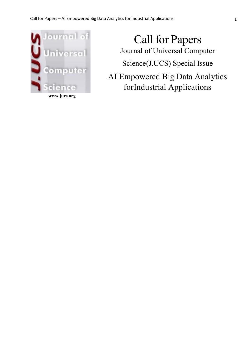

**www.jucs.org**

Call for Papers Journal of Universal Computer Science(J.UCS) Special Issue AI Empowered Big Data Analytics

forIndustrial Applications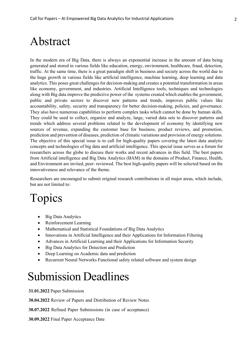#### Abstract

In the modern era of Big Data, there is always an exponential increase in the amount of data being generated and stored in various fields like education, energy, environment, healthcare, fraud, detection, traffic. At the same time, there is a great paradigm shift in business and society across the world due to the huge growth in various fields like artificial intelligence, machine learning, deep learning and data analytics. This poses great challenges for decision-making and creates a potential transformation in areas like economy, government, and industries. Artificial Intelligence tools, techniques and technologies along with Big data improve the predictive power of the systems created which enables the government, public and private sectors to discover new patterns and trends, improves public values like accountability, safety, security and transparency for better decision-making, policies, and governance. They also have numerous capabilities to perform complex tasks which cannot be done by human skills. They could be used to collect, organize and analyze, large, varied data sets to discover patterns and trends which address several problems related to the development of economy by identifying new sources of revenue, expanding the customer base for business, product reviews, and promotion, prediction and prevention of diseases, prediction of climatic variations and provision of energy solutions. The objective of this special issue is to call for high-quality papers covering the latest data analytic concepts and technologies of big data and artificial intelligence. This special issue serves as a forum for researchers across the globe to discuss their works and recent advances in this field. The best papers from Artificial intelligence and Big Data Analytics (BAM) in the domains of Product, Finance, Health, and Environment are invited, peer- reviewed. The best high-quality papers will be selected based on the innovativeness and relevance of the theme.

Researchers are encouraged to submit original research contributions in all major areas, which include, but are not limited to:

# Topics

- Big Data Analytics
- Reinforcement Learning
- Mathematical and Statistical Foundations of Big Data Analytics
- Innovations in Artificial Intelligence and their Applications for Information Filtering
- Advances in Artificial Learning and their Applications for Information Security
- Big Data Analytics for Detection and Prediction
- Deep Learning on Academic data and prediction
- Recurrent Neural Networks Functional safety related software and system design

### Submission Deadlines

**31.01.2022** Paper Submission

**30.04.2022** Review of Papers and Distribution of Review Notes

**30.07.2022** Refined Paper Submissions (in case of acceptance)

**30.09.2022** Final Paper Acceptance Date